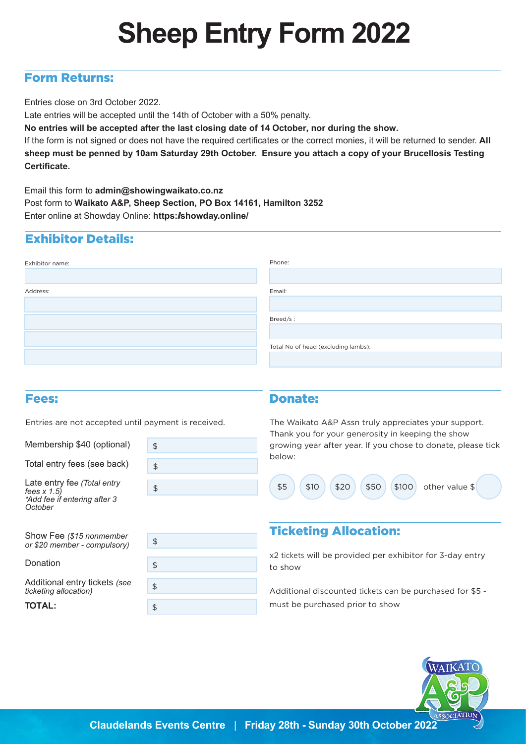# **Sheep Entry Form 2022**

### Form Returns:

Entries close on 3rd October 2022.

Late entries will be accepted until the 14th of October with a 50% penalty.

**No entries will be accepted after the last closing date of 14 October, nor during the show.** 

If the form is not signed or does not have the required certificates or the correct monies, it will be returned to sender. **All sheep must be penned by 10am Saturday 29th October. Ensure you attach a copy of your Brucellosis Testing Certificate.**

Email this form to **admin@showingwaikato.co.nz**  Post form to **Waikato A&P, Sheep Section, PO Box 14161, Hamilton 3252** Enter online at Showday Online: **https://showday.online/**

## Exhibitor Details:

| Exhibitor name: | Phone:                              |
|-----------------|-------------------------------------|
|                 |                                     |
| Address:        | Email:                              |
|                 |                                     |
|                 | Breed/s:                            |
|                 |                                     |
|                 | Total No of head (excluding lambs): |
|                 |                                     |

#### Fees:

Entries are not accepted until payment is received.

Membership \$40 (optional)

Total entry fees (see back)

Late entry fe*e (Total entry fees x 1.5) \*Add fee if entering after 3 October*



Show Fee *(\$15 nonmember or \$20 member - compulsory)*

Donation

Additional entry tickets *(see ticketing allocation)*

TOTAL:



#### Donate:

The Waikato A&P Assn truly appreciates your support. Thank you for your generosity in keeping the show growing year after year. If you chose to donate, please tick below:



## Ticketing Allocation:

x2 tickets will be provided per exhibitor for 3-day entry to show

Additional discounted tickets can be purchased for \$5 must be purchased prior to show

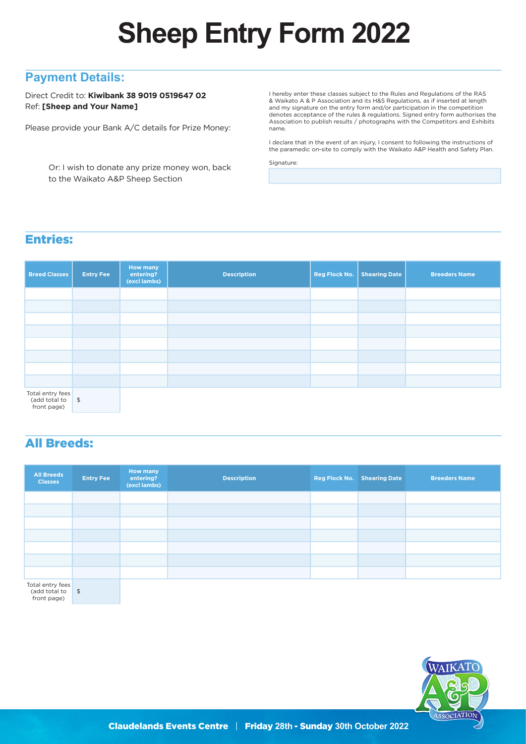# **Sheep Entry Form 2022**

### **Payment Details:**

Direct Credit to: **Kiwibank 38 9019 0519647 02** Ref: **[Sheep and Your Name]**

Please provide your Bank A/C details for Prize Money:

 Or: I wish to donate any prize money won, back to the Waikato A&P Sheep Section

I hereby enter these classes subject to the Rules and Regulations of the RAS & Waikato A & P Association and its H&S Regulations, as if inserted at length and my signature on the entry form and/or participation in the competition denotes acceptance of the rules & regulations. Signed entry form authorises the Association to publish results / photographs with the Competitors and Exhibits name.

I declare that in the event of an injury, I consent to following the instructions of the paramedic on-site to comply with the Waikato A&P Health and Safety Plan.

Signature:

## Entries:

| <b>Breed Classes</b>                             | <b>Entry Fee</b> | <b>How many</b><br>entering?<br>(excl lambs) | <b>Description</b> | Reg Flock No. | <b>Shearing Date</b> | <b>Breeders Name</b> |
|--------------------------------------------------|------------------|----------------------------------------------|--------------------|---------------|----------------------|----------------------|
|                                                  |                  |                                              |                    |               |                      |                      |
|                                                  |                  |                                              |                    |               |                      |                      |
|                                                  |                  |                                              |                    |               |                      |                      |
|                                                  |                  |                                              |                    |               |                      |                      |
|                                                  |                  |                                              |                    |               |                      |                      |
|                                                  |                  |                                              |                    |               |                      |                      |
|                                                  |                  |                                              |                    |               |                      |                      |
|                                                  |                  |                                              |                    |               |                      |                      |
| Total entry fees<br>(add total to<br>front page) | $\frac{1}{2}$    |                                              |                    |               |                      |                      |

All Breeds:

| <b>All Breeds</b><br><b>Classes</b> | <b>Entry Fee</b> | <b>How many</b><br>entering?<br>(excl lambs) | <b>Description</b> | <b>Reg Flock No. Shearing Date</b> | <b>Breeders Name</b> |
|-------------------------------------|------------------|----------------------------------------------|--------------------|------------------------------------|----------------------|
|                                     |                  |                                              |                    |                                    |                      |
|                                     |                  |                                              |                    |                                    |                      |
|                                     |                  |                                              |                    |                                    |                      |
|                                     |                  |                                              |                    |                                    |                      |
|                                     |                  |                                              |                    |                                    |                      |
|                                     |                  |                                              |                    |                                    |                      |
|                                     |                  |                                              |                    |                                    |                      |
| Total entry fees                    |                  |                                              |                    |                                    |                      |

\$ (add total to front page)

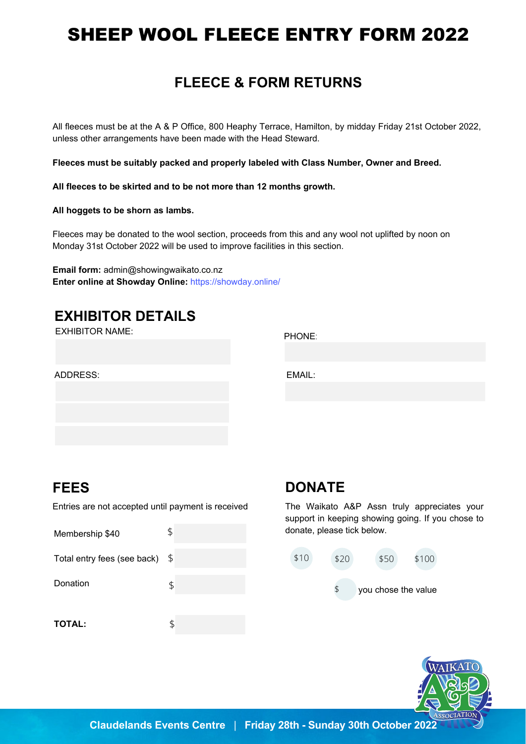# SHEEP WOOL FLEECE ENTRY FORM 2022

## **FLEECE & FORM RETURNS**

All fleeces must be at the A & P Office, 800 Heaphy Terrace, Hamilton, by midday Friday 21st October 2022, unless other arrangements have been made with the Head Steward.  

**Fleeces must be suitably packed and properly labeled with Class Number, Owner and Breed.** 

**All fleeces to be skirted and to be not more than 12 months growth.** 

**All hoggets to be shorn as lambs.** 

Fleeces may be donated to the wool section, proceeds from this and any wool not uplifted by noon on Monday 31st October 2022 will be used to improve facilities in this section.

**Email form:** admin@showingwaik[ato.co.nz](https://showday.online/) **Enter online at Showday Online:** https://showday.online/

## **EXHIBITOR DETAILS**

EXHIBITOR NAME: PHONE:

ADDRESS:

EMAIL:

## **FEES**

Entries are not accepted until payment is received

Membership \$40 Total entry fees (see back) \$ Donation **TOTAL:** \$ \$ \$

## **DONATE**

The Waikato A&P Assn truly appreciates your support in keeping showing going. If you chose to donate, please tick below.